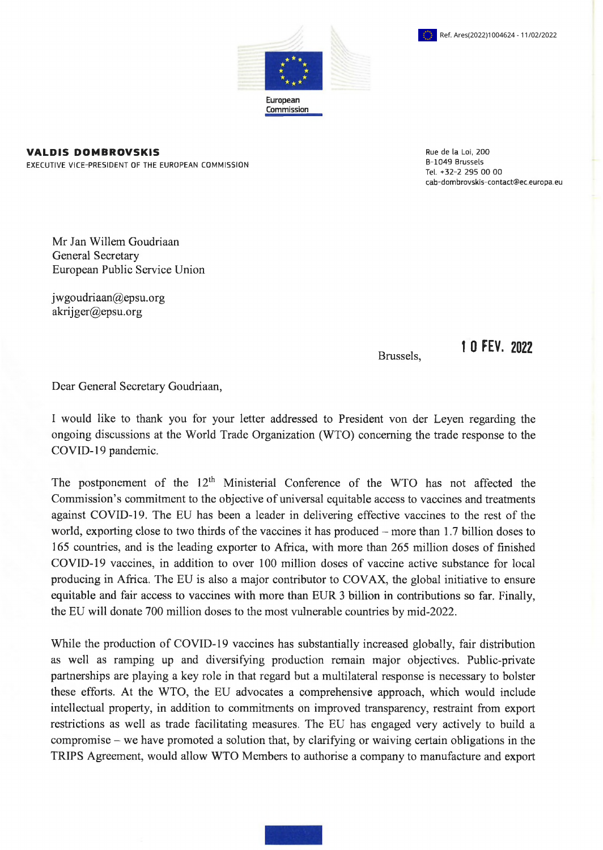



**VALDIS DOMBROVSKIS** EXECUTIVE VICE-PRESIDENT OF THE EUROPEAN COMMISSION Rue de la Lol, 200 B-1049 Brussels Tel. +32-2 295 00 00 [cab-dombrovskis-contact@ec.europa.eu](mailto:cab-dombrovskis-contact@ec.europa.eu)

Mr Jan Willem Goudriaan General Secretary European Public Service Union

[jwgoudriaan@epsu.org](mailto:jwgoudriaan@epsu.org) [akrijger@epsu.org](mailto:akrijger@epsu.org)

Brussels, <sup>1</sup> <sup>0</sup> FEV. <sup>2022</sup>

Dear General Secretary Goudriaan,

I would like to thank you for your letter addressed to President von der Leyen regarding the ongoing discussions at the World Trade Organization (WTO) concerning the trade response to the COVID-19 pandemic.

The postponement of the  $12<sup>th</sup>$  Ministerial Conference of the WTO has not affected the Commission's commitment to the objective of universal equitable access to vaccines and treatments against COVID-19. The EU has been a leader in delivering effective vaccines to the rest of the world, exporting close to two thirds of the vaccines it has produced  $-$  more than 1.7 billion doses to 165 countries, and is the leading exporter to Africa, with more than 265 million doses of finished COVID-19 vaccines, in addition to over 100 million doses of vaccine active substance for local producing in Africa. The EU is also a major contributor to COVAX, the global initiative to ensure equitable and fair access to vaccines with more than EUR 3 billion in contributions so far. Finally, the EU will donate 700 million doses to the most vulnerable countries by mid-2022.

While the production of COVID-19 vaccines has substantially increased globally, fair distribution as well as ramping up and diversifying production remain major objectives. Public-private partnerships are playing a key role in that regard but a multilateral response is necessary to bolster these efforts. At the WTO, the EU advocates a comprehensive approach, which would include intellectual property, in addition to commitments on improved transparency, restraint from export restrictions as well as trade facilitating measures. The EU has engaged very actively to build a compromise - we have promoted <sup>a</sup> solution that, by clarifying or waiving certain obligations in the TRIPS Agreement, would allow WTO Members to authorise a company to manufacture and export